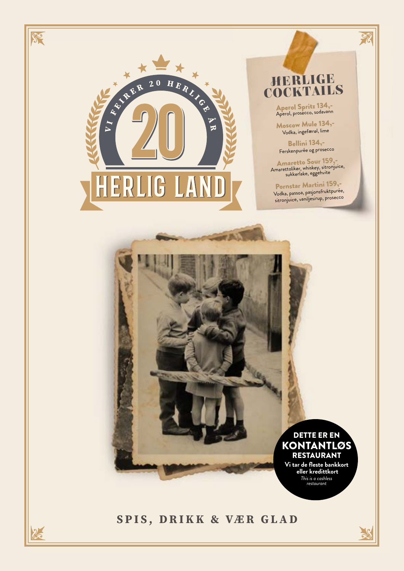

### SPIS, DRIKK & VÆR GLAD

 $\frac{2}{2}$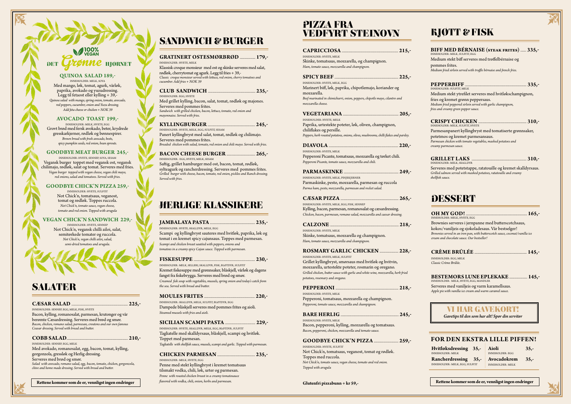# **HJØRNET**

#### **QUINOA SALAD 189,-**

INNEHOLDER: MELK, SOYA Med mango, løk, tomat, agurk, vårløk, paprika, avokado og yuzudressing. Legg til fetaost eller kylling + 39,- *Quinoa salad with mango, spring onion, tomato, avocado, red peppers, cucumber, onion and Yuzu dressing. Add feta cheese or chicken + NOK 39*

#### **AVOCADO TOAST 199,-**

INNEHOLDER: MELK, HVETE, EGG Grovt brød med fersk avokado, beter, krydrede gresskarkjerner, rødløk og bønnespirer. *Brown bread with fresh avocado, beets, spicy pumpkin seeds, red onion, bean sprouts.*

#### **GOODBYE MEAT BURGER 245,-**

INNEHOLDER: HVETE, SENNEP, SOYA, SESAM Vegansk burger toppet med vegansk ost, vegansk chilimajo, rødløk, salat og tomat. Serveres med fries. *Vegan burger topped with vegan cheese, vegan chili mayo, red onions, salad and tomatoes. Served with fries.* 

#### **GOODBYE CHICK'N PIZZA 259,-**

INNEHOLDER: HVETE, SULFITT Not Chick'n, tomatsaus, veganost, tomat og rødløk. Toppes ruccola. *Not Chick'n, tomato sauce, vegan cheese, tomato and red onion. Topped with arugula*

#### **VEGAN CHICK'N SANDWICH 229,-**

INNEHOLDER: HVETE, SENNEP Not Chick'n, vegansk chilli ailoi, salat, semitørkede tomater og ruccola. *Not Chick'n, vegan chilli ailoi, salad, semi-dried tomatoes and arugula.*

### **SALATER**

| INNEHOLDER: HVETE, MELK                                                                                           |
|-------------------------------------------------------------------------------------------------------------------|
| Skinke, tomatsaus, mozzarella, og champignon.                                                                     |
| Ham, tomato sauce, mozzarella and champignon.                                                                     |
|                                                                                                                   |
| INNEHOLDER: HVETE, MELK, EGG                                                                                      |
| Marinert biff, løk, paprika, chipotlemajo, koriander og<br>mozzarella.                                            |
| Beef marinated in chimichurri, onion, peppers, chipotle mayo, cilantro and<br>mozzarella cheese.                  |
|                                                                                                                   |
|                                                                                                                   |
| INNEHOLDER: HVETE, MELK<br>Paprika, urtestekte poteter, løk, oliven, champignon,                                  |
| chiliflakes og persille.<br>Peppers, herb roasted potatoes, onions, olives, mushrooms, chilli flakes and parsley. |
|                                                                                                                   |
| <b>INNEHOLDER: HVETE, MELK</b>                                                                                    |
| Pepperoni Picante, tomatsaus, mozzarella og tørket chili.                                                         |
| Pepperoni Picante, tomato sauce, mozzarella and chili.                                                            |
|                                                                                                                   |
| INNEHOLDER: HVETE, MELK, PINJEKJERNER                                                                             |
| Parmaskinke, pesto, mozzarella, parmesan og ruccola<br>Parma ham, pesto, mozzarella, parmesan and rocket salad.   |
|                                                                                                                   |
|                                                                                                                   |
| INNEHOLDER: HVETE, MELK, EGG, FISK, SENNEP                                                                        |
| Kylling, bacon, parmesan, romanosalat og cæsardressing.                                                           |
| Chicken, bacon, parmesan, romano salad, mozzarella and caesar dressing.                                           |
|                                                                                                                   |
| INNEHOLDER: HVETE, MELK                                                                                           |
| Skinke, tomatsaus, mozzarella og champignon.                                                                      |
| Ham, tomato sauce, mozzarella and champignon.                                                                     |
| ROSMARY GARLIC CHICKEN  228,-                                                                                     |
| INNEHOLDER: HVETE, MELK, SULFITI                                                                                  |
| Grillet kyllingbryst, smørsaus med hvitløk og hvitvin,                                                            |
| mozzarella, urtestekte poteter, rosmarin og oregano.                                                              |
| Grilled chicken, butter sauce with garlic and white wine, mozzarella, herb fried                                  |
| potatoes, rosemary and oregano.                                                                                   |
|                                                                                                                   |
| INNEHOLDER: HVETE, MELK                                                                                           |
| Pepperoni, tomatsaus, mozzarella og champignon.                                                                   |
| Pepperoni, tomato sauce, mozzarella and champignon.                                                               |
|                                                                                                                   |
| INNEHOLDER: HVETE, MELK                                                                                           |
| Bacon, pepperoni, kylling, mozzarella og tomatsaus.                                                               |

*Bacon, pepperoni, chicken, mozzarella and tomato sauce.*

#### **GOODBYE CHICK'N PIZZA** .............................. **259,-**

INNEHOLDER: HVETE, SULFITT Not Chick'n, tomatsaus, veganost, tomat og rødløk. Toppes med ruccola. *Not Chick'n, tomato sauce, vegan cheese, tomato and red onion. Topped with arugula*

**Glutenfri pizzabunn + kr 59,-**

### **KJØTT & FISK**

### PIZZA FRA VEDFYRT STEINOVN

#### **JAMBALAYA PASTA** ....................................................... **235,-**

INNEHOLDER: HVETE, SKALLDYR, MELK, EGG Scampi og kyllingbryst sauteres med hvitløk, paprika, løk og tomat i en kremet spicy cajunsaus. Toppes med parmesan. *Scampi and chicken breast sautéed with peppers, onions and tomatoes in a creamy spicy Cajun sauce. Topped with parmesan.*

#### **FISKESUPPE** ........................................................................... **230,-**

INNEHOLDER: MELK, SELLERI, SKALLDYR, FISK, BLØTDYR, SULFITT Kremet fiskesuppe med grønnsaker, blåskjell, vårløk og dagens fangst fra fiskebrygga. Serveres med brød og smør. *Creamed fish soup with vegetables, mussels, spring onion and today's catch from the sea. Served with bread and butter.*

#### **MOULES FRITES** .............................................................. **220,-**

INNEHOLDER: SKALLDYR, MELK, SULFITT, BLØTDYR, EGG Dampede blåskjell serveres med pommes frites og aioli. *Steamed mussels with fries and aioli.*

#### **SICILIAN SCAMPI PASTA** ..................................... **229,-**

INNEHOLDER: HVETE, SKALLDYR, MELK, EGG, BLØTDYR, SULFITT Tagliatelle med skalldyrsaus, blåskjell, scampi og hvitløk. Toppet med parmesan. *Tagliatelle with shellfish sauce, mussels, scampi and garlic. Topped with parmesan.*

#### **CHICKEN PARMESAN** .............................................. **235,-**

INNEHOLDER: MELK, HVETE, EGG Penne med stekt kyllingbryst i kremet tomatsaus tilsmakt vodka, chili, løk, urter og parmesan. *Penne with roasted chicken breast in a creamy tomatosauce flavored with vodka, chili, onion, herbs and parmesan.*

### HERLIGE KLASSIKERE

#### **GRATINERT OSTESMØRBRØD** ................... **179,-**

INNEHOLDER: HVETE, MELK Klassisk croque monsieur med ost og skinke serveres med salat, rødløk, cherrytomat og agurk. Legg til fries + 39,- *Classic croque monsieur served with lettuce, red onion, cherry tomatoes and cucumber. Add fries + NOK 39*

#### **CLUB SANDWICH** .......................................................... **235,-**

INNEHOLDER: EGG, HVETE Med grillet kylling, bacon, salat, tomat, rødløk og majones. Serveres med pommes frites.

*Sandwich with grilled chicken, bacon, lettuce, tomato, red onion and mayonnaise. Served with fries.*

#### **KYLLINGBURGER** .......................................................... **245,-**

INNEHOLDER: HVETE, MELK, EGG, SULFITT, SESAM Panert kyllingbryst med salat, tomat, rødløk og chilimajo. Serveres med pommes frites. *Breaded chicken with salad, tomato, red onion and chili mayo. Served with fries.*

**BACON CHEESE BURGER** ................................... **265,-** INNEHOLDER: EGG, HVETE, MELK, SESAM

Saftig, grillet hamburger med ost, bacon, tomat, rødløk, sylteagurk og rancherdressing. Serveres med pommes frites. *Grilled burger with cheese, bacon, tomato, red onion, pickles and Ranch dressing. Served with fries.*

### SANDWICH & BURGER

#### **CÆSAR SALAD** ..................................................................... **225,-**

INNEHOLDER: SENNEP, EGG, MELK, FISK, HVETE Bacon, kylling, romanosalat, parmesan, krutonger og vår berømte Cæsardressing. Serveres med brød og smør. *Bacon, chicken, romano salad, parmesan, croutons and our own famous Ceasar dressing. Served with bread and butter.* 

#### **COBB SALAD**........................................................................... **210,-**

INNEHOLDER: SENNEP, EGG, MELK Med avokado, romanosalat, egg, bacon, tomat, kylling, gorgonzola, gressløk og Herlig dressing. Serveres med brød og smør. *Salad with avocado, romano salad, egg, bacon, tomato, chicken, gorgonzola, chive and home made dressing. Served with bread and butter.*

| BIFF MED BÉRNAISE (steak frites)  335,-<br>inneholder: melk, sulfitt, egg                                                                                                                                                              |  |
|----------------------------------------------------------------------------------------------------------------------------------------------------------------------------------------------------------------------------------------|--|
| Medium stekt biff serveres med trøffelbérnaise og                                                                                                                                                                                      |  |
| pommes frites.<br>Medium fried sirloin served with truffle bérnaise and french fries.                                                                                                                                                  |  |
| INNEHOLDER: SULFITT, MELK                                                                                                                                                                                                              |  |
| Medium stekt ytrefilet serveres med hvitløkschampignon,                                                                                                                                                                                |  |
| fries og kremet grønn peppersaus.<br>Medium fried peppered sirloin served with garlic champignon,<br>fries and creamy green pepper sauce.                                                                                              |  |
| INNEHOLDER: MELK, SULFITT, HVETE                                                                                                                                                                                                       |  |
| Parmesanpanert kyllingbryst med tomatiserte grønnsaker,                                                                                                                                                                                |  |
| potetmos og kremet parmesansaus.<br>Parmesan chicken with tomato vegetables, mashed potatoes and<br>creamy parmesan sauce.                                                                                                             |  |
| INNEHOLDER: MELK, SKALLDYR                                                                                                                                                                                                             |  |
| Serveres med potetstappe, ratatouille og kremet skalldyrsaus.<br>Grilled salmon served with mashed potatoes, ratatouille and creamy<br>shellfish sauce.                                                                                |  |
| DESSERT                                                                                                                                                                                                                                |  |
| INNEHOLDER: MELK, HVETE, EGG                                                                                                                                                                                                           |  |
| Brownies serveres i jernpanne med butterscotchsaus,<br>kokos/vaniljeis og sjokoladesaus. Vår bestselger!<br>Brownies served in an iron pan, with butterscotch sauce, coconut/vanilla ice<br>cream and chocolate sauce. Our bestseller! |  |
|                                                                                                                                                                                                                                        |  |
| INNEHOLDER: EGG, MELK<br>Classic Crème Brûlée.                                                                                                                                                                                         |  |
| <b>BESTEMORS LUNE EPLEKAKE  145,-</b><br>INNEHOLDER: MELK, HVETE, EGG, MANDLER                                                                                                                                                         |  |
| Serveres med vaniljeis og varm karamellsaus.<br>Apple pie with vanilla ice cream and warm caramel sauce.                                                                                                                               |  |
| VI HAR GAVEKORIY<br>Gavetips til den som har alt! Spør din servitør                                                                                                                                                                    |  |
|                                                                                                                                                                                                                                        |  |
| <b>FOR DEN EKSTRA LILLE PIFFEN!</b>                                                                                                                                                                                                    |  |
|                                                                                                                                                                                                                                        |  |
| Hvitløksdressing<br>Aioli<br>$35,-$<br>$35 -$<br><b>INNEHOLDER: MELK</b><br><b>INNEHOLDER: EGG</b>                                                                                                                                     |  |
| Avocadokrem<br>$35 -$<br><b>Rancherdressing</b><br>$35 -$<br>INNEHOLDER: MELK, EGG, SULFITT<br><b>INNEHOLDER: MELK</b>                                                                                                                 |  |
| Rettene kommer som de er, vennligst ingen endringer                                                                                                                                                                                    |  |

**Rettene kommer som de er, vennligst ingen endringer Rettene kommer som de er, vennligst ingen endringer**